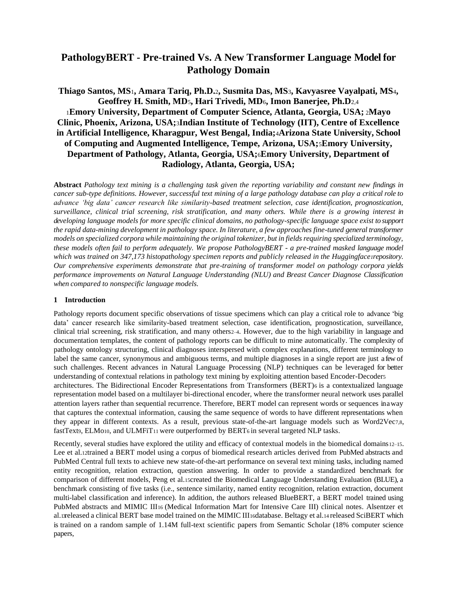# **PathologyBERT - Pre-trained Vs. A New Transformer Language Model for Pathology Domain**

**Thiago Santos, MS**1**, Amara Tariq, Ph.D.**2**, Susmita Das, MS**3**, Kavyasree Vayalpati, MS**4**, Geoffrey H. Smith, MD**5**, Hari Trivedi, MD**6**, Imon Banerjee, Ph.D**2*,*<sup>4</sup> <sup>1</sup>**Emory University, Department of Computer Science, Atlanta, Georgia, USA;** <sup>2</sup>**Mayo Clinic, Phoenix, Arizona, USA;**3**Indian Institute of Technology (IIT), Centre of Excellence in Artificial Intelligence, Kharagpur, West Bengal, India;**4**Arizona State University, School of Computing and Augmented Intelligence, Tempe, Arizona, USA;**5**Emory University, Department of Pathology, Atlanta, Georgia, USA;**6**Emory University, Department of Radiology, Atlanta, Georgia, USA;**

**Abstract** *Pathology text mining is a challenging task given the reporting variability and constant new findings in cancer sub-type definitions. However, successful text mining of a large pathology database can play a critical role to advance 'big data' cancer research like similarity-based treatment selection, case identification, prognostication, surveillance, clinical trial screening, risk stratification, and many others. While there is a growing interest in developing language models for more specific clinical domains, no pathology-specific language space exist to support the rapid data-mining development in pathology space. In literature, a few approaches fine-tuned general transformer models on specialized corpora while maintaining the original tokenizer, but in fields requiring specialized terminology, these models often fail to perform adequately. We propose PathologyBERT - a pre-trained masked language model which was trained on 347,173 histopathology specimen reports and publicly released in the Huggingface1repository. Our comprehensive experiments demonstrate that pre-training of transformer model on pathology corpora yields performance improvements on Natural Language Understanding (NLU) and Breast Cancer Diagnose Classification when compared to nonspecific language models.*

# **1 Introduction**

Pathology reports document specific observations of tissue specimens which can play a critical role to advance 'big data' cancer research like similarity-based treatment selection, case identification, prognostication, surveillance, clinical trial screening, risk stratification, and many others2–4. However, due to the high variability in language and documentation templates, the content of pathology reports can be difficult to mine automatically. The complexity of pathology ontology structuring, clinical diagnoses interspersed with complex explanations, different terminology to label the same cancer, synonymous and ambiguous terms, and multiple diagnoses in a single report are just a few of such challenges. Recent advances in Natural Language Processing (NLP) techniques can be leveraged for better understanding of contextual relations in pathology text mining by exploiting attention based Encoder-Decoder<sup>5</sup> architectures. The Bidirectional Encoder Representations from Transformers (BERT)<sup>6</sup> is a contextualized language representation model based on a multilayer bi-directional encoder, where the transformer neural network uses parallel attention layers rather than sequential recurrence. Therefore, BERT model can represent words or sequences in a way that captures the contextual information, causing the same sequence of words to have different representations when they appear in different contexts. As a result, previous state-of-the-art language models such as Word2Vec7,8, fastText9, ELMo10, and ULMFiT<sup>11</sup> were outperformed by BERT<sup>6</sup> in several targeted NLP tasks.

Recently, several studies have explored the utility and efficacy of contextual models in the biomedical domains12–15. Lee et al.12trained a BERT model using a corpus of biomedical research articles derived from PubMed abstracts and PubMed Central full texts to achieve new state-of-the-art performance on several text mining tasks, including named entity recognition, relation extraction, question answering. In order to provide a standardized benchmark for comparison of different models, Peng et al.15created the Biomedical Language Understanding Evaluation (BLUE), a benchmark consisting of five tasks (i.e., sentence similarity, named entity recognition, relation extraction, document multi-label classification and inference). In addition, the authors released BlueBERT, a BERT model trained using PubMed abstracts and MIMIC III<sup>16</sup> (Medical Information Mart for Intensive Care III) clinical notes. Alsentzer et al.13released a clinical BERT base model trained on the MIMIC III16database. Beltagy et al.<sup>14</sup> released SciBERT which is trained on a random sample of 1.14M full-text scientific papers from Semantic Scholar (18% computer science papers,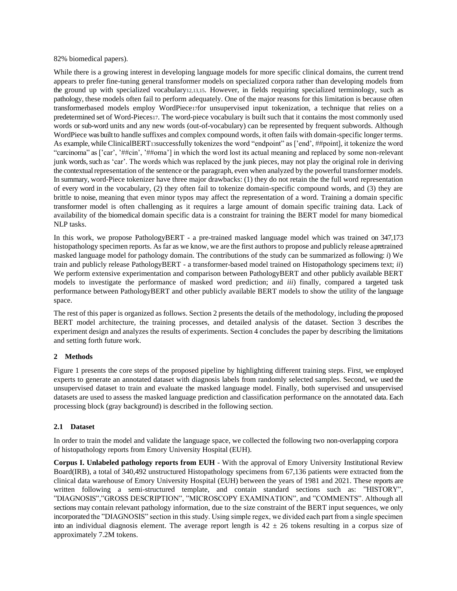82% biomedical papers).

While there is a growing interest in developing language models for more specific clinical domains, the current trend appears to prefer fine-tuning general transformer models on specialized corpora rather than developing models from the ground up with specialized vocabulary12,13,15. However, in fields requiring specialized terminology, such as pathology, these models often fail to perform adequately. One of the major reasons for this limitation is because often transformerbased models employ WordPiece17for unsupervised input tokenization, a technique that relies on a predetermined set of Word-Pieces17. The word-piece vocabulary is built such that it contains the most commonly used words or sub-word units and any new words (out-of-vocabulary) can be represented by frequent subwords. Although WordPiece was built to handle suffixes and complex compound words, it often fails with domain-specific longer terms. As example, while ClinicalBERT13successfully tokenizes the word "endpoint" as ['end', ##point], it tokenize the word "carcinoma" as ['car', '##cin', '##oma'] in which the word lost its actual meaning and replaced by some non-relevant junk words, such as 'car'. The words which was replaced by the junk pieces, may not play the original role in deriving the contextual representation of the sentence or the paragraph, even when analyzed by the powerful transformer models. In summary, word-Piece tokenizer have three major drawbacks: (1) they do not retain the the full word representation of every word in the vocabulary, (2) they often fail to tokenize domain-specific compound words, and (3) they are brittle to noise, meaning that even minor typos may affect the representation of a word. Training a domain specific transformer model is often challenging as it requires a large amount of domain specific training data. Lack of availability of the biomedical domain specific data is a constraint for training the BERT model for many biomedical NLP tasks.

In this work, we propose PathologyBERT - a pre-trained masked language model which was trained on 347,173 histopathology specimen reports. As far as we know, we are the first authors to propose and publicly release a pretrained masked language model for pathology domain. The contributions of the study can be summarized as following: *i*) We train and publicly release PathologyBERT - a transformer-based model trained on Histopathology specimens text; *ii*) We perform extensive experimentation and comparison between PathologyBERT and other publicly available BERT models to investigate the performance of masked word prediction; and *iii*) finally, compared a targeted task performance between PathologyBERT and other publicly available BERT models to show the utility of the language space.

The rest of this paper is organized as follows. Section 2 presents the details of the methodology, including the proposed BERT model architecture, the training processes, and detailed analysis of the dataset. Section 3 describes the experiment design and analyzes the results of experiments. Section 4 concludes the paper by describing the limitations and setting forth future work.

## **2 Methods**

Figure 1 presents the core steps of the proposed pipeline by highlighting different training steps. First, we employed experts to generate an annotated dataset with diagnosis labels from randomly selected samples. Second, we used the unsupervised dataset to train and evaluate the masked language model. Finally, both supervised and unsupervised datasets are used to assess the masked language prediction and classification performance on the annotated data. Each processing block (gray background) is described in the following section.

## **2.1 Dataset**

In order to train the model and validate the language space, we collected the following two non-overlapping corpora of histopathology reports from Emory University Hospital (EUH).

**Corpus I. Unlabeled pathology reports from EUH** - With the approval of Emory University Institutional Review Board(IRB), a total of 340,492 unstructured Histopathology specimens from 67,136 patients were extracted from the clinical data warehouse of Emory University Hospital (EUH) between the years of 1981 and 2021. These reports are written following a semi-structured template, and contain standard sections such as: "HISTORY", "DIAGNOSIS","GROSS DESCRIPTION", "MICROSCOPY EXAMINATION", and "COMMENTS". Although all sections may contain relevant pathology information, due to the size constraint of the BERT input sequence6, we only incorporated the "DIAGNOSIS" section in this study. Using simple regex, we divided each part from a single specimen into an individual diagnosis element. The average report length is 42 *±* 26 tokens resulting in a corpus size of approximately 7.2M tokens.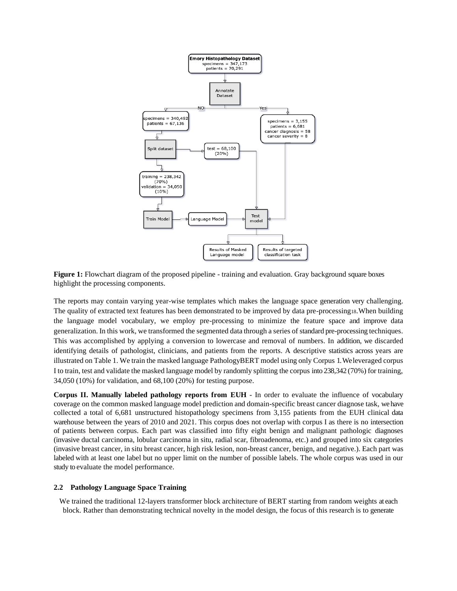

**Figure 1:** Flowchart diagram of the proposed pipeline - training and evaluation. Gray background square boxes highlight the processing components.

The reports may contain varying year-wise templates which makes the language space generation very challenging. The quality of extracted text features has been demonstrated to be improved by data pre-processing18. When building the language model vocabulary, we employ pre-processing to minimize the feature space and improve data generalization. In this work, we transformed the segmented data through a series of standard pre-processing techniques. This was accomplished by applying a conversion to lowercase and removal of numbers. In addition, we discarded identifying details of pathologist, clinicians, and patients from the reports. A descriptive statistics across years are illustrated on Table 1. We train the masked language PathologyBERT model using only Corpus 1. We leveraged corpus I to train, test and validate the masked language model by randomly splitting the corpus into 238,342 (70%) for training, 34,050 (10%) for validation, and 68,100 (20%) for testing purpose.

**Corpus II. Manually labeled pathology reports from EUH** - In order to evaluate the influence of vocabulary coverage on the common masked language model prediction and domain-specific breast cancer diagnose task, we have collected a total of 6,681 unstructured histopathology specimens from 3,155 patients from the EUH clinical data warehouse between the years of 2010 and 2021. This corpus does not overlap with corpus I as there is no intersection of patients between corpus. Each part was classified into fifty eight benign and malignant pathologic diagnoses (invasive ductal carcinoma, lobular carcinoma in situ, radial scar, fibroadenoma, etc.) and grouped into six categories (invasive breast cancer, in situ breast cancer, high risk lesion, non-breast cancer, benign, and negative.). Each part was labeled with at least one label but no upper limit on the number of possible labels. The whole corpus was used in our study to evaluate the model performance.

## **2.2 Pathology Language Space Training**

We trained the traditional 12-layers transformer block architecture of BERT starting from random weights at each block. Rather than demonstrating technical novelty in the model design, the focus of this research is to generate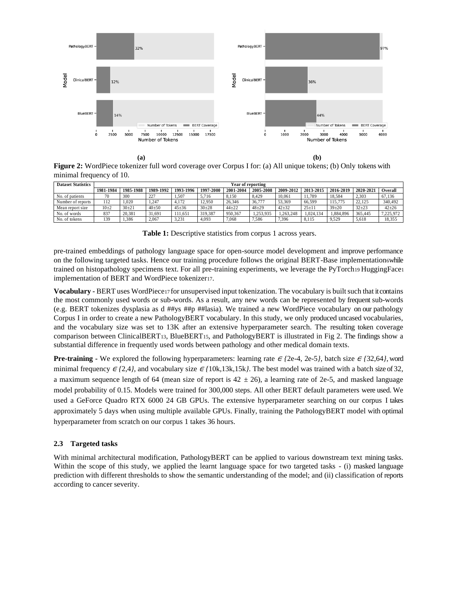

**Figure 2:** WordPiece tokenizer full word coverage over Corpus I for: (a) All unique tokens; (b) Only tokens with minimal frequency of 10.

| <b>Dataset Statistics</b> | Year of reporting |           |           |           |           |           |           |           |           |           |           |           |
|---------------------------|-------------------|-----------|-----------|-----------|-----------|-----------|-----------|-----------|-----------|-----------|-----------|-----------|
|                           | 1981-1984         | 1985-1988 | 1989-1992 | 1993-1996 | 1997-2000 | 2001-2004 | 2005 2008 | 2009-2012 | 2013-2015 | 2016-2019 | 2020-2021 | Overall   |
| No. of patients           | 70                | 300       | 227       | .507      | 5.716     | 8.150     | 8.429     | 10.061    | 11.789    | 18.584    | 2.303     | 67.136    |
| Number of reports         | 112               | .020      | 1.247     | 4.172     | 12.950    | 26,346    | 36,777    | 53.369    | 66.599    | 115.775   | 22.125    | 340,492   |
| Mean report size          | $10+2$            | $30+21$   | $40 + 50$ | $45 + 36$ | $30 + 28$ | $44 + 22$ | $48 + 29$ | $42 + 32$ | $25 + 11$ | $39 + 20$ | $32 + 23$ | $42 + 26$ |
| No. of words              | 837               | 20.381    | 31.691    | 111.651   | 319.387   | 950,367   | 1.253.935 | 1.263.248 | 1.024.134 | 1,884,896 | 365,445   | .225.972  |
| No. of tokens             | 139               | .386      | 2,067     | 3,231     | 4,093     | 7,068     | 7.586     | 7,396     | 8,115     | 9.529     | 5,618     | 18,355    |

**Table 1:** Descriptive statistics from corpus 1 across years.

pre-trained embeddings of pathology language space for open-source model development and improve performance on the following targeted tasks. Hence our training procedure follows the original BERT-Base implementation6while trained on histopathology specimens text. For all pre-training experiments, we leverage the PyTorch<sup>19</sup> HuggingFace<sup>1</sup> implementation of BERT and WordPiece tokenizer17.

**Vocabulary -** BERT uses WordPiece17 for unsupervised input tokenization. The vocabulary is built such that it contains the most commonly used words or sub-words. As a result, any new words can be represented by frequent sub-words (e.g. BERT tokenizes dysplasia as d ##ys ##p ##lasia). We trained a new WordPiece vocabulary on our pathology Corpus I in order to create a new PathologyBERT vocabulary. In this study, we only produced uncased vocabularies, and the vocabulary size was set to 13K after an extensive hyperparameter search. The resulting token coverage comparison between ClinicalBERT13, BlueBERT15, and PathologyBERT is illustrated in Fig 2. The findings show a substantial difference in frequently used words between pathology and other medical domain texts.

**Pre-training -** We explored the following hyperparameters: learning rate  $\epsilon$  /2e-4, 2e-5*}*, batch size  $\epsilon$  /32,64*}*, word minimal frequency  $\epsilon$  /2,4*}*, and vocabulary size  $\epsilon$  /10k,13k,15k/. The best model was trained with a batch size of 32, a maximum sequence length of 64 (mean size of report is  $42 \pm 26$ ), a learning rate of 2e-5, and masked language model probability of 0.15. Models were trained for 300,000 steps. All other BERT default parameters were used. We used a GeForce Quadro RTX 6000 24 GB GPUs. The extensive hyperparameter searching on our corpus I takes approximately 5 days when using multiple available GPUs. Finally, training the PathologyBERT model with optimal hyperparameter from scratch on our corpus 1 takes 36 hours.

## **2.3 Targeted tasks**

With minimal architectural modification, PathologyBERT can be applied to various downstream text mining tasks. Within the scope of this study, we applied the learnt language space for two targeted tasks - (i) masked language prediction with different thresholds to show the semantic understanding of the model; and (ii) classification of reports according to cancer severity.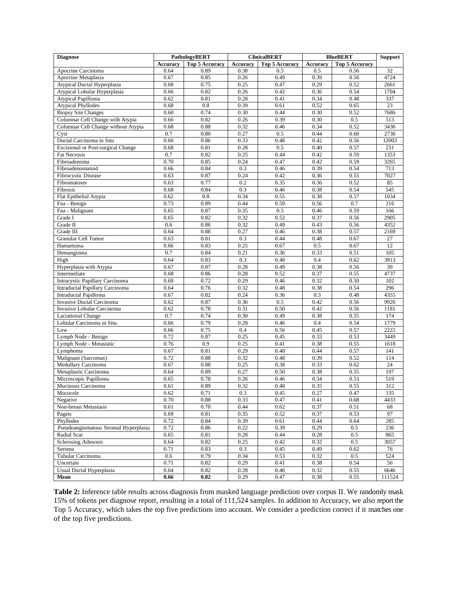| <b>Diagnose</b>                       |          | PathologyBERT         |                 | <b>ClinicalBERT</b>   | <b>BlueBERT</b> | <b>Support</b>        |        |
|---------------------------------------|----------|-----------------------|-----------------|-----------------------|-----------------|-----------------------|--------|
|                                       | Accuracy | <b>Top 5 Accuracy</b> | <b>Accuracy</b> | <b>Top 5 Accuracy</b> | Accuracy        | <b>Top 5 Accuracy</b> |        |
| Apocrine Carcinoma                    | 0.64     | 0.89                  | 0.38            | 0.5                   | 0.5             | 0.56                  | 32     |
| Apocrine Metaplasia                   | 0.67     | 0.85                  | 0.26            | 0.49                  | 0.39            | 0.56                  | 4724   |
| Atypical Ductal Hyperplasia           | 0.68     | 0.75                  | 0.25            | 0.47                  | 0.29            | 0.52                  | 2661   |
| Atypical Lobular Hyperplasia          | 0.66     | 0.82                  | 0.26            | 0.42                  | 0.36            | 0.54                  | 1704   |
| <b>Atypical Papilloma</b>             | 0.62     | 0.81                  | 0.28            | 0.41                  | 0.34            | 0.48                  | 337    |
| <b>Atypical Phyllodes</b>             | 0.68     | 0.8                   | 0.39            | 0.61                  | 0.52            | 0.65                  | 23     |
| <b>Biopsy Site Changes</b>            | 0.60     | 0.74                  | 0.30            | 0.44                  | 0.30            | 0.52                  | 7686   |
| Columnar Cell Change with Atypia      | 0.66     | 0.82                  | 0.26            | 0.39                  | 0.30            | 0.5                   | 513    |
| Columnar Cell Change without Atypia   | 0.68     | 0.88                  | 0.32            | 0.46                  | 0.34            | 0.52                  | 3436   |
| Cyst                                  | 0.7      | 0.80                  | 0.27            | 0.5                   | 0.44            | 0.60                  | 2730   |
| Ductal Carcinoma in Situ              | 0.60     | 0.86                  | 0.33            | 0.48                  | 0.42            | 0.56                  | 12003  |
| Excisional or Post-surgical Change    | 0.68     | 0.81                  | 0.28            | 0.5                   | 0.40            | 0.57                  | 231    |
| Fat Necrosis                          | 0.7      | 0.82                  | 0.25            | 0.44                  | 0.42            | 0.59                  | 1353   |
| Fibroadenoma                          | 0.70     | 0.85                  | 0.24            | 0.47                  | 0.42            | 0.59                  | 3265   |
| Fibroadenomatoid                      | 0.66     | 0.84                  | 0.3             | 0.46                  | 0.39            | 0.54                  | 713    |
| Fibrocystic Disease                   | 0.63     | 0.87                  | 0.24            | 0.42                  | 0.36            | 0.55                  | 7027   |
| Fibromatoses                          | 0.63     | 0.77                  | 0.2             | 0.35                  | 0.36            | 0.52                  | 85     |
| Fibrosis                              | 0.68     | 0.84                  | 0.3             | 0.46                  | 0.38            | 0.54                  | 545    |
| Flat Epithelial Atypia                | 0.62     | 0.8                   | 0.34            | 0.55                  | 0.38            | 0.57                  | 1034   |
| Fna - Benign                          | 0.73     | 0.89                  | 0.44            | 0.59                  | 0.56            | 0.7                   | 216    |
| Fna - Malignant                       | 0.65     | 0.87                  | 0.35            | 0.5                   | 0.46            | 0.59                  | 166    |
| Grade I                               | 0.65     | 0.82                  | 0.32            | 0.52                  | 0.37            | 0.56                  | 2905   |
| Grade II                              | 0.6      | 0.86                  | 0.32            | 0.49                  | 0.43            | 0.56                  | 4352   |
| Grade III                             | 0.64     | 0.88                  | 0.27            | 0.46                  | 0.38            | 0.57                  | 2169   |
| <b>Granular Cell Tumor</b>            | 0.63     | 0.81                  | 0.3             | 0.44                  | 0.48            | 0.67                  | 27     |
| Hamartoma                             | 0.66     | 0.83                  | 0.25            | 0.67                  | 0.5             | 0.67                  | 12     |
| Hemangioma                            | 0.7      | 0.84                  | 0.21            | 0.36                  | 0.33            | 0.51                  | 105    |
| High                                  | 0.64     | 0.83                  | 0.3             | 0.48                  | 0.4             | 0.62                  | 3813   |
| Hyperplasia with Atypia               | 0.67     | 0.87                  | 0.28            | 0.49                  | 0.38            | 0.56                  | 39     |
| Intermediate                          | 0.68     | 0.86                  | 0.28            | 0.52                  | 0.37            | 0.55                  | 4737   |
| Intracystic Papillary Carcinoma       | 0.68     | 0.72                  | 0.29            | 0.46                  | 0.32            | 0.50                  | 102    |
| Intraductal Papillary Carcinoma       | 0.64     | 0.76                  | 0.32            | 0.48                  | 0.38            | 0.54                  | 296    |
| <b>Intraductal Papilloma</b>          | 0.67     | 0.82                  | 0.24            | 0.36                  | 0.3             | 0.48                  | 4355   |
| <b>Invasive Ductal Carcinoma</b>      | 0.62     | 0.87                  | 0.36            | 0.5                   | 0.42            | 0.56                  | 9920   |
| Invasive Lobular Carcinoma            | 0.62     | 0.78                  | 0.31            | 0.50                  | 0.42            | 0.56                  | 1181   |
| <b>Lactational Change</b>             | 0.7      | 0.74                  | 0.30            | 0.49                  | 0.38            | 0.55                  | 174    |
| Lobular Carcinoma in Situ             | 0.66     | 0.79                  | 0.28            | 0.46                  | 0.4             | 0.54                  | 1779   |
| Low                                   | 0.66     | 0.75                  | 0.4             | 0.56                  | 0.45            | 0.57                  | 2222   |
| Lymph Node - Benign                   | 0.72     | 0.87                  | 0.25            | 0.45                  | 0.33            | 0.53                  | 3449   |
| Lymph Node - Metastatic               | 0.76     | 0.9                   | 0.25            | 0.41                  | 0.38            | 0.55                  | 1618   |
| Lymphoma                              | 0.67     | 0.81                  | 0.29            | 0.48                  | 0.44            | 0.57                  | 141    |
| Malignant (Sarcomas)                  | 0.72     | 0.88                  | 0.32            | 0.48                  | 0.39            | 0.52                  | 114    |
| Medullary Carcinoma                   | 0.67     | 0.88                  | 0.25            | 0.38                  | 0.33            | 0.62                  | 24     |
| Metaplastic Carcinoma                 | 0.64     | 0.89                  | 0.27            | 0.50                  | 0.38            | 0.55                  | 197    |
| Microscopic Papilloma                 | 0.65     | 0.78                  | 0.26            | 0.46                  | 0.34            | 0.53                  | 519    |
| Mucinous Carcinoma                    | 0.61     | 0.89                  | 0.32            | 0.48                  | 0.35            | 0.55                  | 312    |
| Mucocele                              | 0.62     | 0.71                  | 0.3             | 0.45                  | 0.27            | 0.47                  | 135    |
| Negative                              | 0.70     | 0.88                  | 0.33            | 0.47                  | 0.41            | 0.68                  | 4433   |
| Non-breast Metastasis                 | 0.61     | 0.70                  | 0.44            | 0.62                  | 0.37            | 0.51                  | 68     |
| Pagets                                | 0.69     | 0.81                  | 0.35            | 0.52                  | 0.37            | 0.53                  | 97     |
| Phyllodes                             | 0.72     | 0.84                  | 0.39            | 0.61                  | 0.44            | 0.64                  | 285    |
| Pseudoangiomatous Stromal Hyperplasia | 0.72     | 0.86                  | 0.22            | 0.39                  | 0.29            | 0.5                   | 236    |
| Radial Scar                           | 0.65     | 0.81                  | 0.28            | 0.44                  | 0.28            | 0.5                   | 865    |
| <b>Sclerosing Adenosis</b>            | 0.64     | 0.82                  | 0.25            | 0.42                  | 0.32            | 0.5                   | 3057   |
| Seroma                                | 0.71     | 0.83                  | 0.3             | 0.45                  | 0.49            | 0.62                  | 76     |
| Tubular Carcinoma                     | 0.6      | 0.79                  | 0.34            | 0.53                  | 0.32            | 0.5                   | 524    |
| Uncertain                             | 0.71     | 0.82                  | 0.29            | 0.41                  | 0.38            | 0.54                  | 56     |
| Usual Ductal Hyperplasia              | 0.64     | 0.82                  | 0.28            | 0.46                  | 0.32            | 0.55                  | 6646   |
| Mean                                  | 0.66     | 0.82                  | 0.29            | 0.47                  | $0.38\,$        | 0.55                  | 111524 |

**Table 2:** Inference table results across diagnosis from masked language prediction over corpus II. We randomly mask 15% of tokens per diagnose report, resulting in a total of 111,524 samples. In addition to Accuracy, we also report the Top 5 Accuracy, which takes the top five predictions into account. We consider a prediction correct if it matches one of the top five predictions.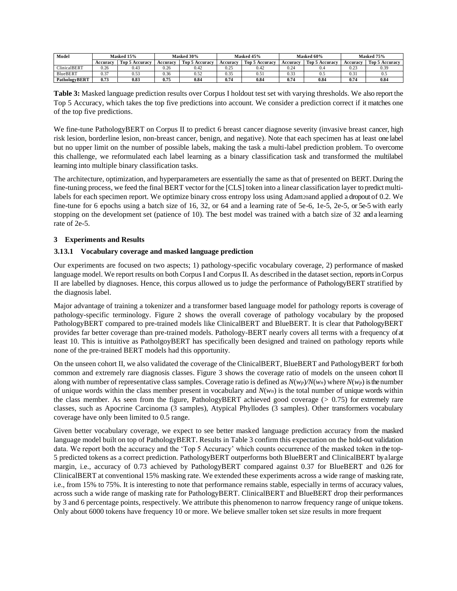| Model               | Masked 15% |                       | Masked 30% |                | Masked 45% |                       |                  | Masked 60%     | Masked 75% |                       |
|---------------------|------------|-----------------------|------------|----------------|------------|-----------------------|------------------|----------------|------------|-----------------------|
|                     | Accuracv   | <b>Top 5 Accuracy</b> | Accuracv   | Top 5 Accuracy | Accuracv   | <b>Top 5 Accuracy</b> | Accuracv         | Top 5 Accuracy | Accuracy   | <b>Top 5 Accuracy</b> |
| <b>ClinicalBERT</b> | 0.26       | 0.43                  | 0.26       | 0.42           | 0.25       | 0.42                  | 0.24             | U.4            | 0.23       | 0.39                  |
| BlueBERT            | $\sim$     |                       | 0.36       | 0.52           | 0.35       | 0.51                  | 0.33             | u.:            | 0.31       | 0.5                   |
| PathologyBERT       | 0.73       | 0.83                  | 0.75       | 0.84           | 0.74       | 0.84                  | 0.7 <sub>5</sub> | 0.84           | 0.74       | 0.84                  |

**Table 3:** Masked language prediction results over Corpus I holdout test set with varying thresholds. We also report the Top 5 Accuracy, which takes the top five predictions into account. We consider a prediction correct if it matches one of the top five predictions.

We fine-tune PathologyBERT on Corpus II to predict 6 breast cancer diagnose severity (invasive breast cancer, high risk lesion, borderline lesion, non-breast cancer, benign, and negative). Note that each specimen has at least one label but no upper limit on the number of possible labels, making the task a multi-label prediction problem. To overcome this challenge, we reformulated each label learning as a binary classification task and transformed the multilabel learning into multiple binary classification tasks.

The architecture, optimization, and hyperparameters are essentially the same as that of presented on BERT. During the fine-tuning process, we feed the final BERT vector for the [CLS] token into a linear classification layer to predict multilabels for each specimen report. We optimize binary cross entropy loss using Adam20and applied a dropout of 0.2. We fine-tune for 6 epochs using a batch size of 16, 32, or 64 and a learning rate of 5e-6, 1e-5, 2e-5, or 5e-5 with early stopping on the development set (patience of 10). The best model was trained with a batch size of 32 and a learning rate of 2e-5.

## **3 Experiments and Results**

## **3.1 3.1 Vocabulary coverage and masked language prediction**

Our experiments are focused on two aspects; 1) pathology-specific vocabulary coverage, 2) performance of masked language model. We report results on both Corpus I and Corpus II. As described in the dataset section, reports in Corpus II are labelled by diagnoses. Hence, this corpus allowed us to judge the performance of PathologyBERT stratified by the diagnosis label.

Major advantage of training a tokenizer and a transformer based language model for pathology reports is coverage of pathology-specific terminology. Figure 2 shows the overall coverage of pathology vocabulary by the proposed PathologyBERT compared to pre-trained models like ClinicalBERT and BlueBERT. It is clear that PathologyBERT provides far better coverage than pre-trained models. Pathology-BERT nearly covers all terms with a frequency of at least 10. This is intuitive as PatholgoyBERT has specifically been designed and trained on pathology reports while none of the pre-trained BERT models had this opportunity.

On the unseen cohort II, we also validated the coverage of the ClinicalBERT, BlueBERT and PathologyBERT for both common and extremely rare diagnosis classes. Figure 3 shows the coverage ratio of models on the unseen cohort II along with number of representative class samples. Coverage ratio is defined as  $N(\psi_p)/N(\psi_n)$  where  $N(\psi_p)$  is the number of unique words within the class member present in vocabulary and *N*(*wn*) is the total number of unique words within the class member. As seen from the figure, PathologyBERT achieved good coverage (*>* 0*.*75) for extremely rare classes, such as Apocrine Carcinoma (3 samples), Atypical Phyllodes (3 samples). Other transformers vocabulary coverage have only been limited to 0.5 range.

Given better vocabulary coverage, we expect to see better masked language prediction accuracy from the masked language model built on top of PathologyBERT. Results in Table 3 confirm this expectation on the hold-out validation data. We report both the accuracy and the 'Top 5 Accuracy' which counts occurrence of the masked token in the top-5 predicted tokens as a correct prediction. PathologyBERT outperforms both BlueBERT and ClinicalBERT by a large margin, i.e., accuracy of 0.73 achieved by PathologyBERT compared against 0.37 for BlueBERT and 0.26 for ClinicalBERT at conventional 15% masking rate. We extended these experiments across a wide range of masking rate, i.e., from 15% to 75%. It is interesting to note that performance remains stable, especially in terms of accuracy values, across such a wide range of masking rate for PathologyBERT. ClinicalBERT and BlueBERT drop their performances by 3 and 6 percentage points, respectively. We attribute this phenomenon to narrow frequency range of unique tokens. Only about 6000 tokens have frequency 10 or more. We believe smaller token set size results in more frequent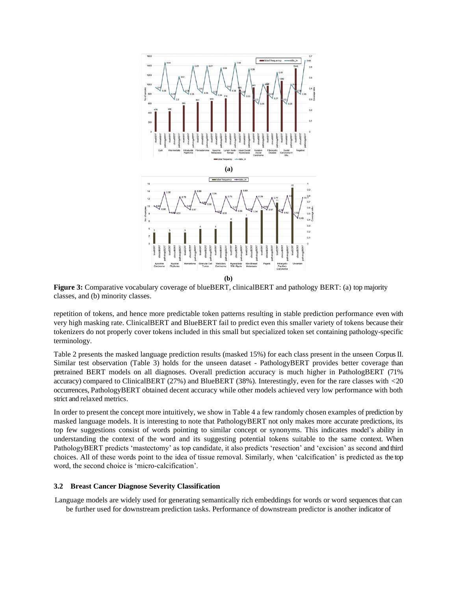

**Figure 3:** Comparative vocabulary coverage of blueBERT, clinicalBERT and pathology BERT: (a) top majority classes, and (b) minority classes.

repetition of tokens, and hence more predictable token patterns resulting in stable prediction performance even with very high masking rate. ClinicalBERT and BlueBERT fail to predict even this smaller variety of tokens because their tokenizers do not properly cover tokens included in this small but specialized token set containing pathology-specific terminology.

Table 2 presents the masked language prediction results (masked 15%) for each class present in the unseen Corpus II. Similar test observation (Table 3) holds for the unseen dataset - PathologyBERT provides better coverage than pretrained BERT models on all diagnoses. Overall prediction accuracy is much higher in PathologBERT (71% accuracy) compared to ClinicalBERT (27%) and BlueBERT (38%). Interestingly, even for the rare classes with *<*20 occurrences, PathologyBERT obtained decent accuracy while other models achieved very low performance with both strict and relaxed metrics.

In order to present the concept more intuitively, we show in Table 4 a few randomly chosen examples of prediction by masked language models. It is interesting to note that PathologyBERT not only makes more accurate predictions, its top few suggestions consist of words pointing to similar concept or synonyms. This indicates model's ability in understanding the context of the word and its suggesting potential tokens suitable to the same context. When PathologyBERT predicts 'mastectomy' as top candidate, it also predicts 'resection' and 'excision' as second and third choices. All of these words point to the idea of tissue removal. Similarly, when 'calcification' is predicted as the top word, the second choice is 'micro-calcification'.

## **3.2 Breast Cancer Diagnose Severity Classification**

Language models are widely used for generating semantically rich embeddings for words or word sequences that can be further used for downstream prediction tasks. Performance of downstream predictor is another indicator of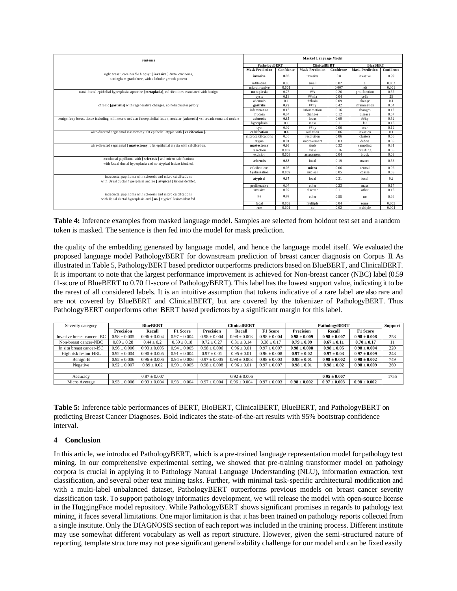| Sentence                                                                                                                             | <b>Masked Language Model</b> |           |                     |           |                        |           |  |
|--------------------------------------------------------------------------------------------------------------------------------------|------------------------------|-----------|---------------------|-----------|------------------------|-----------|--|
|                                                                                                                                      | PathologyBERT                |           | <b>ClinicalBERT</b> |           | <b>BlueBERT</b>        |           |  |
|                                                                                                                                      | <b>Mask Prediction</b>       | Confdence | Mask Prediction     | Confdence | <b>Mask Prediction</b> | Confdence |  |
| right breast, core needle biopsy: [invasive ] ductal carcinoma,<br>nottingham gradethree, with a lobular growth pattern              | invasive                     | 0.96      | invasive            | 0.8       | invasive               | 0.99      |  |
|                                                                                                                                      | infltrating                  | 0.03      | small               | 0.02      | a                      | 0.002     |  |
|                                                                                                                                      | microinvasive                | 0.001     | a                   | 0.007     | left                   | 0.001     |  |
| usual ductal epithelial hyperplasia, apocrine [metaplasia], calcifcations associated with benign                                     | metaplasia                   | 0.75      | ##s                 | 0.26      | proliferation          | 0.55      |  |
|                                                                                                                                      | cvsts                        | 0.13      | $#$ #mia            | 0.04      | cells                  | 25        |  |
|                                                                                                                                      | adenosis                     | 0.1       | ##lasia             | 0.09      | change                 | 0.1       |  |
| chronic [gastritis] with regenerative changes, no helicobacter pylory                                                                | gastritis                    | 0.79      | ##itv               | 0.42      | infammation            | 0.64      |  |
|                                                                                                                                      | infammation                  | 0.15      | infammation         | 0.16      | changes                | 0.12      |  |
|                                                                                                                                      | mucosa                       | 0.04      | changes             | 0.12      | disease                | 0.07      |  |
| benign fatty breast tissue including millimeters nodular fbroepithelial lesion, nodular [adenosis] vs fbroadenomatoid nodule         | adenosis                     | 0.85      | focus               | 0.69      | ##ity                  | 0.52      |  |
|                                                                                                                                      | hyperplasia                  | 0.1       | mass                | 0.11      | fat                    | 0.16      |  |
|                                                                                                                                      | cvst                         | 0.02      | ##ity               | 0.06      | scar                   | 0.12      |  |
| wire-directed segmental mastectomy: fat epithelial atypia with [ calcifcation ].                                                     | calcifcation                 | 0.6       | radiation           | 0.06      | invasion               | 0.1       |  |
|                                                                                                                                      | microcalcifcations           | 0.36      | resolution          | 0.06      | clusters               | 0.06      |  |
|                                                                                                                                      | atypia                       | 0.01      | improvement         | 0.03      | debris                 | 0.05      |  |
| wire-directed segmental [ mastectomy ]: fat epithelial atypia with calcifcation.                                                     | mastectomy                   | 0.98      | study               | 0.32      | sampling               | 0.31      |  |
|                                                                                                                                      | resection                    | 0.007     | view                | 0.16      | brushing               | 0.06      |  |
|                                                                                                                                      | excision                     | 0.003     | assessment          | 0.04      | block                  | 0.03      |  |
| intraductal papilloma with [ sclerosis ] and micro calcifcations<br>with Usual ductal hyperplasia and no atypical lesions identifed. | sclerosis                    | 0.83      | focal               | 0.19      | macro                  | 0.53      |  |
|                                                                                                                                      | calcifcations                | 0.08      | micro               | 0.06      | central                | 0.06      |  |
|                                                                                                                                      | hvalinization                | 0.009     | nuclear             | 0.05      | coarse                 | 0.05      |  |
| intraductal papilloma with sclerosis and micro calcifcations<br>with Usual ductal hyperplasia and no [ atypical ] lesions identifed. | atypical                     | 0.87      | focal               | 0.31      | focal                  | 0.2       |  |
|                                                                                                                                      | proliferative                | 0.07      | other               | 0.23      | mass                   | 0.17      |  |
|                                                                                                                                      | invasive                     | 0.07      | discrete            | 0.11      | other                  | 0.16      |  |
| intraductal papilloma with sclerosis and micro calcifcations<br>with Usual ductal hyperplasia and [ no ] atypical lesions identifed. | no                           | 0.99      | other               | 0.55      | no                     | 0.94      |  |
|                                                                                                                                      | focal                        | 0.002     | multiple            | 0.04      | some                   | 0.005     |  |
|                                                                                                                                      | rare                         | 0.001     | no                  | 0.02      | multiple               | 0.004     |  |

**Table 4:** Inference examples from masked language model. Samples are selected from holdout test set and a random token is masked. The sentence is then fed into the model for mask prediction.

the quality of the embedding generated by language model, and hence the language model itself. We evaluated the proposed language model PathologyBERT for downstream prediction of breast cancer diagnosis on Corpus II. As illustrated in Table 5, PathologyBERT based predictor outperforms predictors based on BlueBERT, and ClinicalBERT. It is important to note that the largest performance improvement is achieved for Non-breast cancer (NBC) label (0.59 f1-score of BlueBERT to 0.70 f1-score of PathologyBERT). This label has the lowest support value, indicating it to be the rarest of all considered labels. It is an intuitive assumption that tokens indicative of a rare label are also rare and are not covered by BlueBERT and ClinicalBERT, but are covered by the tokenizer of PathologyBERT. Thus PathologyBERT outperforms other BERT based predictors by a significant margin for this label.

| Severity category          | <b>BlueBERT</b>  |                  |                  | <b>ClinicalBERT</b> |                  |                  |                  | Support          |                  |     |
|----------------------------|------------------|------------------|------------------|---------------------|------------------|------------------|------------------|------------------|------------------|-----|
|                            | Precision        | Recall           | <b>F1 Score</b>  | Precision           | Recall           | <b>F1 Score</b>  | Precision        | Recall           | <b>F1 Score</b>  |     |
| Invasive breast cancer-IBC | $0.98 \pm 0.005$ | $0.96 \pm 0.004$ | $0.97 \pm 0.004$ | $0.98 \pm 0.004$    | $0.98 \pm 0.008$ | $0.98 \pm 0.004$ | $0.98 \pm 0.009$ | $0.98 \pm 0.007$ | $0.98 \pm 0.008$ | 258 |
| Non-breast cancer-NBC      | $0.89 \pm 0.28$  | $0.44 \pm 0.2$   | $0.59 \pm 0.18$  | $0.72 \pm 0.27$     | $0.31 \pm 0.14$  | $0.38 \pm 0.17$  | $0.79 \pm 0.09$  | $0.67 \pm 0.11$  | $0.70 \pm 0.17$  | 11  |
| In situ breast cancer-ISC  | $0.96 \pm 0.006$ | $0.93 \pm 0.005$ | $0.94 \pm 0.005$ | $0.98 \pm 0.006$    | $0.96 \pm 0.01$  | $0.97 \pm 0.007$ | $0.98 \pm 0.008$ | $0.98 \pm 0.05$  | $0.98 \pm 0.004$ | 220 |
| High risk lesion-HRL       | $0.92 \pm 0.004$ | $0.90 \pm 0.005$ | $0.91 \pm 0.004$ | $0.97 \pm 0.01$     | $0.95 \pm 0.01$  | $0.96 \pm 0.008$ | $0.97 \pm 0.02$  | $0.97 \pm 0.03$  | $0.97 \pm 0.009$ | 248 |
| Benign-B                   | $0.92 \pm 0.006$ | $0.96 \pm 0.006$ | $0.94 \pm 0.006$ | $0.97 \pm 0.005$    | $0.98 \pm 0.003$ | $0.98 \pm 0.003$ | $0.98 \pm 0.01$  | $0.98 \pm 0.002$ | $0.98 \pm 0.002$ | 749 |
| Negative                   | $0.92 \pm 0.007$ | $0.89 \pm 0.02$  | $0.90 \pm 0.005$ | $0.98 \pm 0.008$    | $0.96 \pm 0.01$  | $0.97 \pm 0.007$ | $0.98 \pm 0.01$  | $0.98 \pm 0.02$  | $0.98 \pm 0.009$ | 269 |
|                            |                  |                  |                  |                     |                  |                  |                  |                  |                  |     |
| $0.87 + 0.007$<br>Accuracy |                  | $0.92 \pm 0.006$ |                  |                     |                  | 1755             |                  |                  |                  |     |
| Micro Average              | $0.93 \pm 0.006$ | $0.93 \pm 0.004$ | $0.93 \pm 0.004$ | $0.97 \pm 0.004$    | $0.96 \pm 0.004$ | $0.97 \pm 0.003$ | $0.98 \pm 0.002$ | $0.97 \pm 0.003$ | $0.98 \pm 0.002$ |     |

**Table 5:** Inference table performances of BERT, BioBERT, ClinicalBERT, BlueBERT, and PathologyBERT on predicting Breast Cancer Diagnoses. Bold indicates the state-of-the-art results with 95% bootstrap confidence interval.

## **4 Conclusion**

In this article, we introduced PathologyBERT, which is a pre-trained language representation model for pathology text mining. In our comprehensive experimental setting, we showed that pre-training transformer model on pathology corpora is crucial in applying it to Pathology Natural Language Understanding (NLU), information extraction, text classification, and several other text mining tasks. Further, with minimal task-specific architectural modification and with a multi-label unbalanced dataset, PathologyBERT outperforms previous models on breast cancer severity classification task. To support pathology informatics development, we will release the model with open-source license in the HuggingFace model repository. While PathologyBERT shows significant promises in regards to pathology text mining, it faces several limitations. One major limitation is that it has been trained on pathology reports collected from a single institute. Only the DIAGNOSIS section of each report was included in the training process. Different institute may use somewhat different vocabulary as well as report structure. However, given the semi-structured nature of reporting, template structure may not pose significant generalizability challenge for our model and can be fixed easily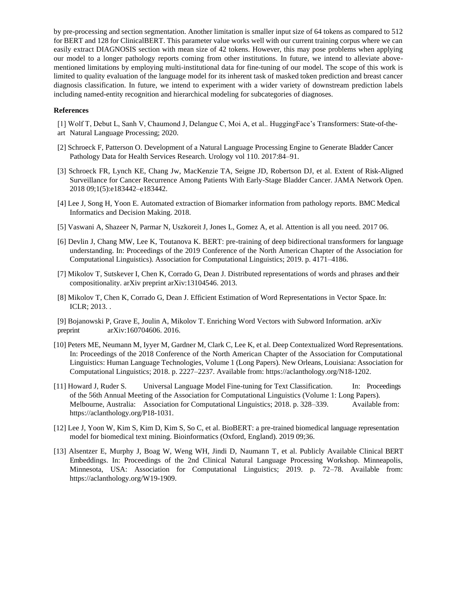by pre-processing and section segmentation. Another limitation is smaller input size of 64 tokens as compared to 512 for BERT and 128 for ClinicalBERT. This parameter value works well with our current training corpus where we can easily extract DIAGNOSIS section with mean size of 42 tokens. However, this may pose problems when applying our model to a longer pathology reports coming from other institutions. In future, we intend to alleviate abovementioned limitations by employing multi-institutional data for fine-tuning of our model. The scope of this work is limited to quality evaluation of the language model for its inherent task of masked token prediction and breast cancer diagnosis classification. In future, we intend to experiment with a wider variety of downstream prediction labels including named-entity recognition and hierarchical modeling for subcategories of diagnoses.

#### **References**

- [1] Wolf T, Debut L, Sanh V, Chaumond J, Delangue C, Moi A, et al.. HuggingFace's Transformers: State-of-theart Natural Language Processing; 2020.
- [2] Schroeck F, Patterson O. Development of a Natural Language Processing Engine to Generate Bladder Cancer Pathology Data for Health Services Research. Urology vol 110. 2017:84–91.
- [3] Schroeck FR, Lynch KE, Chang Jw, MacKenzie TA, Seigne JD, Robertson DJ, et al. Extent of Risk-Aligned Surveillance for Cancer Recurrence Among Patients With Early-Stage Bladder Cancer. JAMA Network Open. 2018 09;1(5):e183442–e183442.
- [4] Lee J, Song H, Yoon E. Automated extraction of Biomarker information from pathology reports. BMC Medical Informatics and Decision Making. 2018.
- [5] Vaswani A, Shazeer N, Parmar N, Uszkoreit J, Jones L, Gomez A, et al. Attention is all you need. 2017 06.
- [6] Devlin J, Chang MW, Lee K, Toutanova K. BERT: pre-training of deep bidirectional transformers for language understanding. In: Proceedings of the 2019 Conference of the North American Chapter of the Association for Computational Linguistics). Association for Computational Linguistics; 2019. p. 4171–4186.
- [7] Mikolov T, Sutskever I, Chen K, Corrado G, Dean J. Distributed representations of words and phrases and their compositionality. arXiv preprint arXiv:13104546. 2013.
- [8] Mikolov T, Chen K, Corrado G, Dean J. Efficient Estimation of Word Representations in Vector Space. In: ICLR; 2013. .
- [9] Bojanowski P, Grave E, Joulin A, Mikolov T. Enriching Word Vectors with Subword Information. arXiv preprint arXiv:160704606. 2016.
- [10] Peters ME, Neumann M, Iyyer M, Gardner M, Clark C, Lee K, et al. Deep Contextualized Word Representations. In: Proceedings of the 2018 Conference of the North American Chapter of the Association for Computational Linguistics: Human Language Technologies, Volume 1 (Long Papers). New Orleans, Louisiana: Association for Computational Linguistics; 2018. p. 2227–2237. Available from: https://aclanthology.org/N18-1202.
- [11] Howard J, Ruder S. Universal Language Model Fine-tuning for Text Classification. In: Proceedings of the 56th Annual Meeting of the Association for Computational Linguistics (Volume 1: Long Papers). Melbourne, Australia: Association for Computational Linguistics; 2018. p. 328–339. Available from: https://aclanthology.org/P18-1031.
- [12] Lee J, Yoon W, Kim S, Kim D, Kim S, So C, et al. BioBERT: a pre-trained biomedical language representation model for biomedical text mining. Bioinformatics (Oxford, England). 2019 09;36.
- [13] Alsentzer E, Murphy J, Boag W, Weng WH, Jindi D, Naumann T, et al. Publicly Available Clinical BERT Embeddings. In: Proceedings of the 2nd Clinical Natural Language Processing Workshop. Minneapolis, Minnesota, USA: Association for Computational Linguistics; 2019. p. 72–78. Available from: https://aclanthology.org/W19-1909.